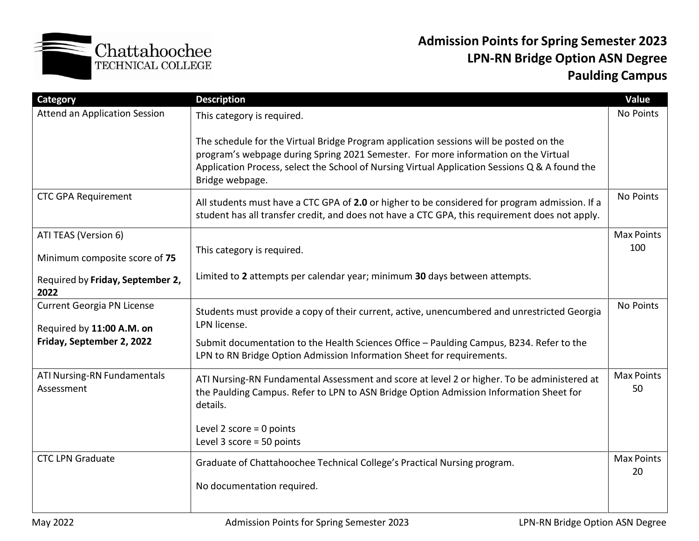

## **Admission Points for Spring Semester 2023 LPN-RN Bridge Option ASN Degree Paulding Campus**

| Category                                               | <b>Description</b>                                                                                                                                                                                                                                                                                | Value                   |  |  |  |  |
|--------------------------------------------------------|---------------------------------------------------------------------------------------------------------------------------------------------------------------------------------------------------------------------------------------------------------------------------------------------------|-------------------------|--|--|--|--|
| <b>Attend an Application Session</b>                   | This category is required.                                                                                                                                                                                                                                                                        | No Points               |  |  |  |  |
|                                                        | The schedule for the Virtual Bridge Program application sessions will be posted on the<br>program's webpage during Spring 2021 Semester. For more information on the Virtual<br>Application Process, select the School of Nursing Virtual Application Sessions Q & A found the<br>Bridge webpage. |                         |  |  |  |  |
| <b>CTC GPA Requirement</b>                             | All students must have a CTC GPA of 2.0 or higher to be considered for program admission. If a<br>student has all transfer credit, and does not have a CTC GPA, this requirement does not apply.                                                                                                  | No Points               |  |  |  |  |
| ATI TEAS (Version 6)                                   |                                                                                                                                                                                                                                                                                                   | <b>Max Points</b>       |  |  |  |  |
| Minimum composite score of 75                          | This category is required.                                                                                                                                                                                                                                                                        | 100                     |  |  |  |  |
| Required by Friday, September 2,<br>2022               | Limited to 2 attempts per calendar year; minimum 30 days between attempts.                                                                                                                                                                                                                        |                         |  |  |  |  |
| Current Georgia PN License                             | Students must provide a copy of their current, active, unencumbered and unrestricted Georgia<br>LPN license.                                                                                                                                                                                      | No Points               |  |  |  |  |
| Required by 11:00 A.M. on<br>Friday, September 2, 2022 | Submit documentation to the Health Sciences Office - Paulding Campus, B234. Refer to the<br>LPN to RN Bridge Option Admission Information Sheet for requirements.                                                                                                                                 |                         |  |  |  |  |
| ATI Nursing-RN Fundamentals<br>Assessment              | ATI Nursing-RN Fundamental Assessment and score at level 2 or higher. To be administered at<br>the Paulding Campus. Refer to LPN to ASN Bridge Option Admission Information Sheet for<br>details.                                                                                                 | <b>Max Points</b><br>50 |  |  |  |  |
|                                                        | Level 2 score = $0$ points<br>Level $3$ score = 50 points                                                                                                                                                                                                                                         |                         |  |  |  |  |
| <b>CTC LPN Graduate</b>                                | Graduate of Chattahoochee Technical College's Practical Nursing program.                                                                                                                                                                                                                          |                         |  |  |  |  |
|                                                        | No documentation required.                                                                                                                                                                                                                                                                        |                         |  |  |  |  |
|                                                        |                                                                                                                                                                                                                                                                                                   |                         |  |  |  |  |